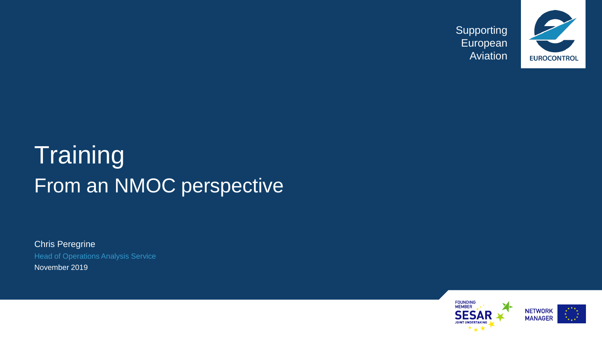

# **Training** From an NMOC perspective

Chris Peregrine Head of Operations Analysis Service November 2019

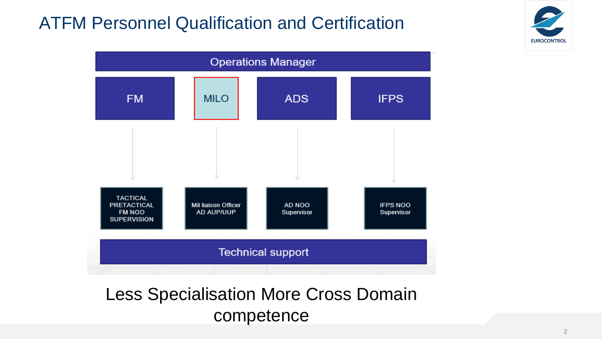



## Less Specialisation More Cross Domain competence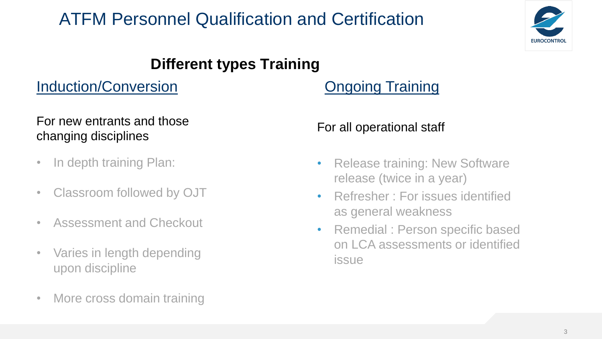

### **Different types Training**

### Induction/Conversion

#### For new entrants and those changing disciplines

- In depth training Plan:
- Classroom followed by OJT
- Assessment and Checkout
- Varies in length depending upon discipline
- More cross domain training

#### **Ongoing Training**

#### For all operational staff

- Release training: New Software release (twice in a year)
- Refresher : For issues identified as general weakness
- Remedial : Person specific based on LCA assessments or identified issue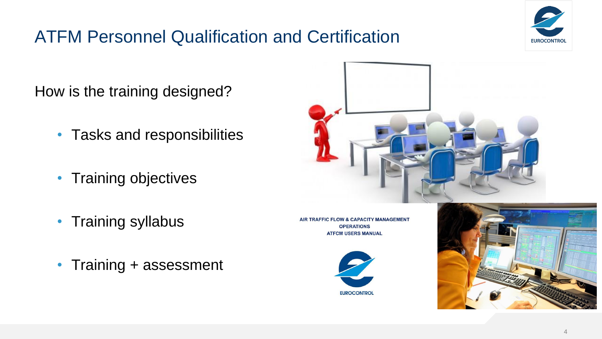

How is the training designed?

- Tasks and responsibilities
- Training objectives
- Training syllabus
- Training + assessment



**AIR TRAFFIC PACITY MANAGEMENT OPERATIONS ATFCM USERS MANUAL** 



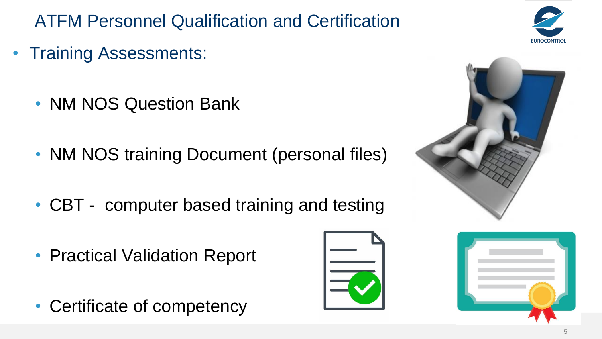- Training Assessments:
	- NM NOS Question Bank
	- NM NOS training Document (personal files)
	- CBT computer based training and testing
	- Practical Validation Report
	- Certificate of competency





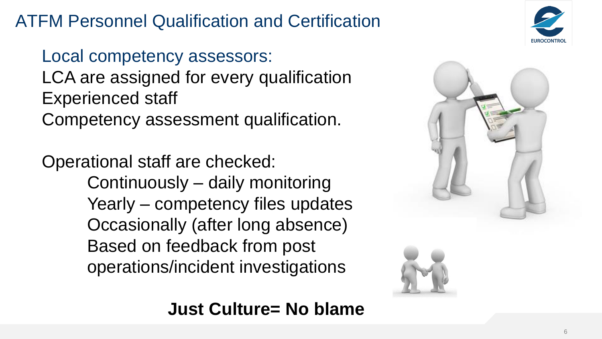Local competency assessors: LCA are assigned for every qualification Experienced staff Competency assessment qualification.

Operational staff are checked: Continuously – daily monitoring Yearly – competency files updates Occasionally (after long absence) Based on feedback from post operations/incident investigations

**Just Culture= No blame**





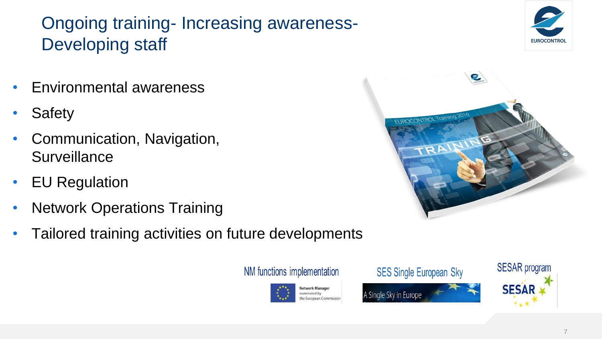## Ongoing training- Increasing awareness-Developing staff

- Environmental awareness
- **Safety**
- Communication, Navigation, **Surveillance**
- EU Regulation
- **Network Operations Training**
- Tailored training activities on future developments





A Single Sky in Europe





**SESA**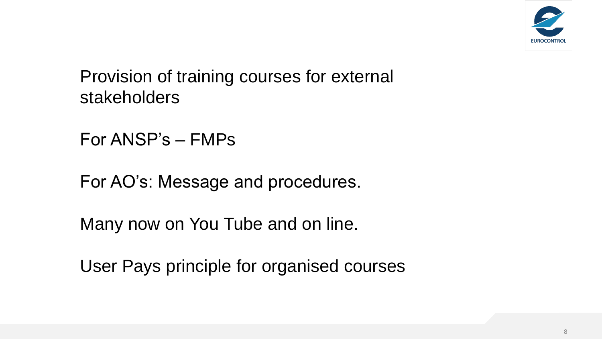

Provision of training courses for external stakeholders

For ANSP's – FMPs

For AO's: Message and procedures.

Many now on You Tube and on line.

User Pays principle for organised courses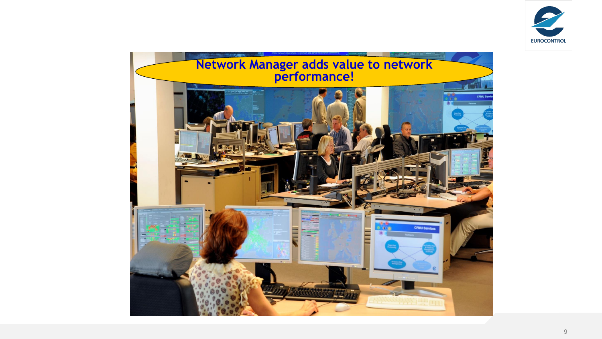